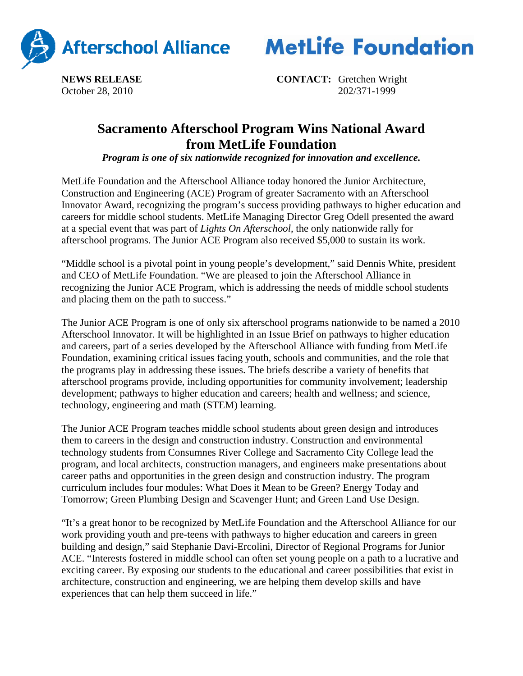



**NEWS RELEASE CONTACT:** Gretchen Wright October 28, 2010202/371-1999

## **Sacramento Afterschool Program Wins National Award from MetLife Foundation**

*Program is one of six nationwide recognized for innovation and excellence.*

MetLife Foundation and the Afterschool Alliance today honored the Junior Architecture, Construction and Engineering (ACE) Program of greater Sacramento with an Afterschool Innovator Award, recognizing the program's success providing pathways to higher education and careers for middle school students. MetLife Managing Director Greg Odell presented the award at a special event that was part of *Lights On Afterschool*, the only nationwide rally for afterschool programs. The Junior ACE Program also received \$5,000 to sustain its work.

"Middle school is a pivotal point in young people's development," said Dennis White, president and CEO of MetLife Foundation. "We are pleased to join the Afterschool Alliance in recognizing the Junior ACE Program, which is addressing the needs of middle school students and placing them on the path to success."

The Junior ACE Program is one of only six afterschool programs nationwide to be named a 2010 Afterschool Innovator. It will be highlighted in an Issue Brief on pathways to higher education and careers, part of a series developed by the Afterschool Alliance with funding from MetLife Foundation, examining critical issues facing youth, schools and communities, and the role that the programs play in addressing these issues. The briefs describe a variety of benefits that afterschool programs provide, including opportunities for community involvement; leadership development; pathways to higher education and careers; health and wellness; and science, technology, engineering and math (STEM) learning.

The Junior ACE Program teaches middle school students about green design and introduces them to careers in the design and construction industry. Construction and environmental technology students from Consumnes River College and Sacramento City College lead the program, and local architects, construction managers, and engineers make presentations about career paths and opportunities in the green design and construction industry. The program curriculum includes four modules: What Does it Mean to be Green? Energy Today and Tomorrow; Green Plumbing Design and Scavenger Hunt; and Green Land Use Design.

"It's a great honor to be recognized by MetLife Foundation and the Afterschool Alliance for our work providing youth and pre-teens with pathways to higher education and careers in green building and design," said Stephanie Davi-Ercolini, Director of Regional Programs for Junior ACE. "Interests fostered in middle school can often set young people on a path to a lucrative and exciting career. By exposing our students to the educational and career possibilities that exist in architecture, construction and engineering, we are helping them develop skills and have experiences that can help them succeed in life."